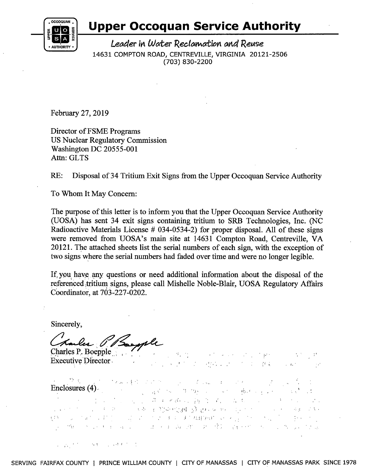

#### **Upper Occoquan Service Authority**

**EXPERTITLE FOR THE Leader in Water Reclamation and Reuse** 14631 COMPTON ROAD, CENTREVILLE, VIRGINIA 20121-2506 (703) 830-2200

February 27, 2019

Director of FSME Programs US Nuclear Regulatory Commission Washington DC 20555-001 Attn: GLTS

RE: Disposal of 34 Tritium Exit Signs from the Upper Occoquan Service Authority

To Whom It May Concern:

The purpose of this letter is to inform you that the Upper Occoquan Service Authority (UOSA) has sent 34 exit signs containing tritium to SRB Technologies, Inc. (NC Radioactive Materials License # 034-0534-2) for proper disposal. All of these signs were removed from UOSA's main site at 14631 Compton Road, Centreville, VA 20121. The attached sheets list the serial numbers of each sign, with the exception of two signs where the serial numbers had faded over time and were no longer legible.

If, you have any questions or need additional information about the disposal of the referenced tritium signs, please call Mishelle Noble-Blair, UOSA Regulatory Affairs coordinator, at 703-221-0202.

Sincerely,

Charles Bepple

 $\sigma_{\alpha}$   $\gamma_{\alpha}$  $\label{eq:2.1} \mathcal{L}_{\mathbf{A}}(\mathcal{F}) = \mathcal{L}_{\mathbf{A}}(\mathcal{F},\mathcal{F}) = \mathcal{L}_{\mathbf{A}}(\mathcal{F})$ ;, Executive Director.  $\mathbf{r} = \mathbf{r} \mathbf{r}$  . In the set of  $\mathbf{r}$ **SAMILY STATE STATE** .  $\mathbf{L}^{(1)}$ 

... *.1,* • } .  $\mathbb{V}^{\infty}_{\mathbb{R}^n}$  ,  $\mathbb{R}^n$ Enclosures ( 4) .. . . ! . i ,: ' ,' .. *:* : ~ .. · ;, :. '  $\mathbb{P}_\mathcal{F} = \{ \mathcal{F} \in \mathcal{F} \mid \mathcal{F} \in \mathcal{F} \text{ and } \mathcal{F} \in \mathcal{F} \text{ and } \mathcal{F} \in \mathcal{F} \text{ and } \mathcal{F} \in \mathcal{F} \text{ and } \mathcal{F} \in \mathcal{F} \text{ and } \mathcal{F} \in \mathcal{F} \text{ and } \mathcal{F} \in \mathcal{F} \text{ and } \mathcal{F} \in \mathcal{F} \text{ and } \mathcal{F} \in \mathcal{F} \text{ and } \mathcal{F} \in \mathcal{F} \text{ and$ . In the set of the set of the set of  $\mathcal{F}_\mathcal{A}$  . In the set of the set of the set of the set of the set of the set of the set of the set of the set of the set of the set of the set of the set of the set of the set o (维) 医眼神经病 (1) 法国家的原因的原因的 电子路 网络一个人 医心脏

2. 医神经的 网络人名英格兰人名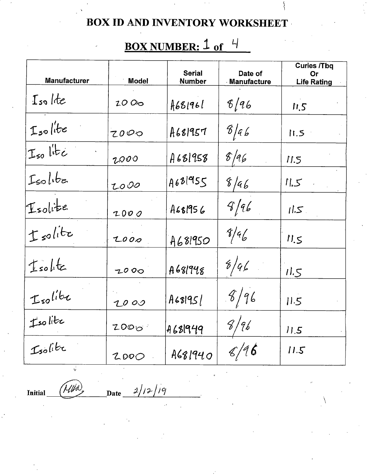$\{$ 

# BOX NUMBER: 1 of 4

| Manufacturer  | <b>Model</b> | <b>Serial</b><br>Number | Date of<br><b>Manufacture</b> | <b>Curies /Tbq</b><br>Or<br><b>Life Rating</b> |
|---------------|--------------|-------------------------|-------------------------------|------------------------------------------------|
| Isolite       | 2000         | A681961                 | 8/96                          | 11.5                                           |
| Isolite       | 7000         | A681957                 | 6/66                          | 11.5                                           |
| $I_{50}$ lite | 2000         | A681958                 | $\frac{f}{46}$                | 11.5                                           |
| Isolibe       | 2000         | A681955                 | 8/46                          | 11.5                                           |
| Isolite       | 2000         | A681956                 | 9/96                          | 11.5                                           |
| tsolite       | 2000         | A681950                 | 8/46                          | 11.5                                           |
| Isolite       | 2000         | A681948                 | 8/96                          | 11.5                                           |
| Isolite       | 2000         | A68195                  | 8/96                          | 11.5                                           |
| Isolite       | 2000         | A681949                 | 8/96                          | 11.5                                           |
| Isolite       | 2000         | A681940                 | 8/96                          | 11.5                                           |

Initial

' Miho  $\mathbf{Date}$ 

 $2/12/19$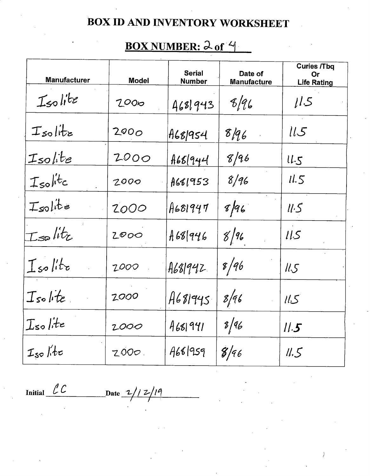## BOX NUMBER: 2 of 4

| <b>Manufacturer</b> | <b>Model</b> | <b>Serial</b><br><b>Number</b> | Date of<br><b>Manufacture</b> | <b>Curies /Tbq</b><br>Or<br><b>Life Rating</b> |
|---------------------|--------------|--------------------------------|-------------------------------|------------------------------------------------|
| Isolite             | 2000         | 4681943                        | 8/96                          | 11.5                                           |
| $I$ solitz          | 2000         | A68 954                        | 8/96                          | ll.5                                           |
| Isolite             | 2000         | 468 944                        | 8/96                          | $ll-5$                                         |
| $I_{so}$ litc       | 2000         | A661953                        | 8/96                          | 11.5                                           |
| Isolite             | 2000         | A681947                        | 8/96                          | llS                                            |
| Isplitz             | 2000         | A68 946                        | 8/96                          | llS                                            |
| $I$ solito          | 2000         | A681942                        | 8/96                          | 11.5                                           |
| Isolite             | 2000         | A681945                        | 8/96                          | 115                                            |
| $I$ solite          | 2000         | 4681941                        | 8/96                          | 11.5                                           |
| $I_{so}/h$          | 2000.        | A68/959                        | 8/96                          | 11.5                                           |

Initial  $LC$  Date  $2/12/19$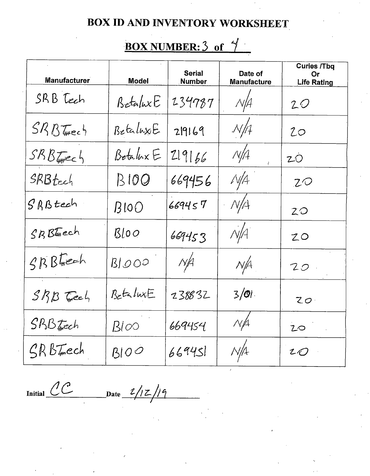### <u>BOX NUMBER: 3 of  $\frac{4}{7}$ </u>

| <b>Manufacturer</b> | <b>Model</b>            | <b>Serial</b><br>Number | Date of<br>Manufacture | <b>Curies /Tbq</b><br>Or<br><b>Life Rating</b> |
|---------------------|-------------------------|-------------------------|------------------------|------------------------------------------------|
| SRB Tech            | BetaluxE                | 234787                  | $N\cancel{A}$          | 20                                             |
| $SRB$ Tweeh         | BetaluxE                | 219169                  | N/f                    | 20                                             |
| $SRB$ Fromec 4      | Betalux E               | 219166                  | N/A                    | 20                                             |
| SRBtech             | B100                    | 669456                  | $\sqrt{4}$             | ZO                                             |
| SRBtech             | BIOO                    | 669457                  | N/4                    | 20                                             |
| SBBFech             | BIOO                    | 669453                  | N/4                    | 20                                             |
| $SRB$ Freeh         | BJOOO                   | $N\neq$                 | N/A                    | 20                                             |
| $SRB$ Feel          | $B$ <sub>c</sub> taluxE | 238832                  | $3/0$ .                | 20 <sup>1</sup>                                |
| $SRB$ Trech         | $B\dot{\infty}$         | 669454                  | N/4                    | 20                                             |
| SRBIEch             | BIOO                    | 669451                  | N/A                    | 20                                             |

Initial  $CC$  Date  $\frac{2/12}{19}$